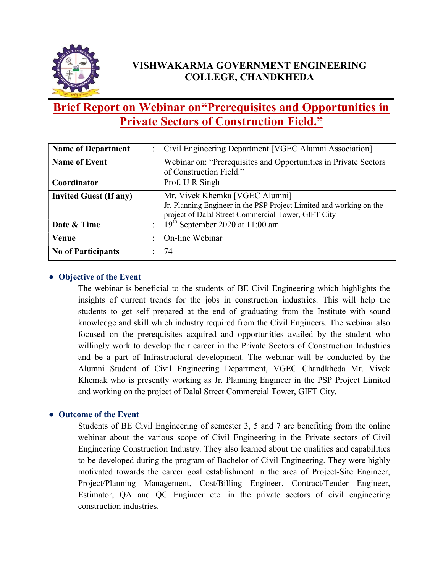

## VISHWAKARMA GOVERNMENT ENGINEERING COLLEGE, CHANDKHEDA

# Brief Report on Webinar on"Prerequisites and Opportunities in Private Sectors of Construction Field."

| <b>Name of Department</b>     |           | Civil Engineering Department [VGEC Alumni Association]                                                                                                       |
|-------------------------------|-----------|--------------------------------------------------------------------------------------------------------------------------------------------------------------|
| <b>Name of Event</b>          |           | Webinar on: "Prerequisites and Opportunities in Private Sectors                                                                                              |
|                               |           | of Construction Field."                                                                                                                                      |
| Coordinator                   |           | Prof. U R Singh                                                                                                                                              |
| <b>Invited Guest (If any)</b> |           | Mr. Vivek Khemka [VGEC Alumni]<br>Jr. Planning Engineer in the PSP Project Limited and working on the<br>project of Dalal Street Commercial Tower, GIFT City |
| Date & Time                   |           | $19th$ September 2020 at 11:00 am                                                                                                                            |
| Venue                         | $\bullet$ | On-line Webinar                                                                                                                                              |
| <b>No of Participants</b>     |           | 74                                                                                                                                                           |

### • Objective of the Event

The webinar is beneficial to the students of BE Civil Engineering which highlights the insights of current trends for the jobs in construction industries. This will help the students to get self prepared at the end of graduating from the Institute with sound knowledge and skill which industry required from the Civil Engineers. The webinar also focused on the prerequisites acquired and opportunities availed by the student who willingly work to develop their career in the Private Sectors of Construction Industries and be a part of Infrastructural development. The webinar will be conducted by the Alumni Student of Civil Engineering Department, VGEC Chandkheda Mr. Vivek Khemak who is presently working as Jr. Planning Engineer in the PSP Project Limited and working on the project of Dalal Street Commercial Tower, GIFT City.

### ● Outcome of the Event

Students of BE Civil Engineering of semester 3, 5 and 7 are benefiting from the online webinar about the various scope of Civil Engineering in the Private sectors of Civil Engineering Construction Industry. They also learned about the qualities and capabilities to be developed during the program of Bachelor of Civil Engineering. They were highly motivated towards the career goal establishment in the area of Project-Site Engineer, Project/Planning Management, Cost/Billing Engineer, Contract/Tender Engineer, Estimator, QA and QC Engineer etc. in the private sectors of civil engineering construction industries.